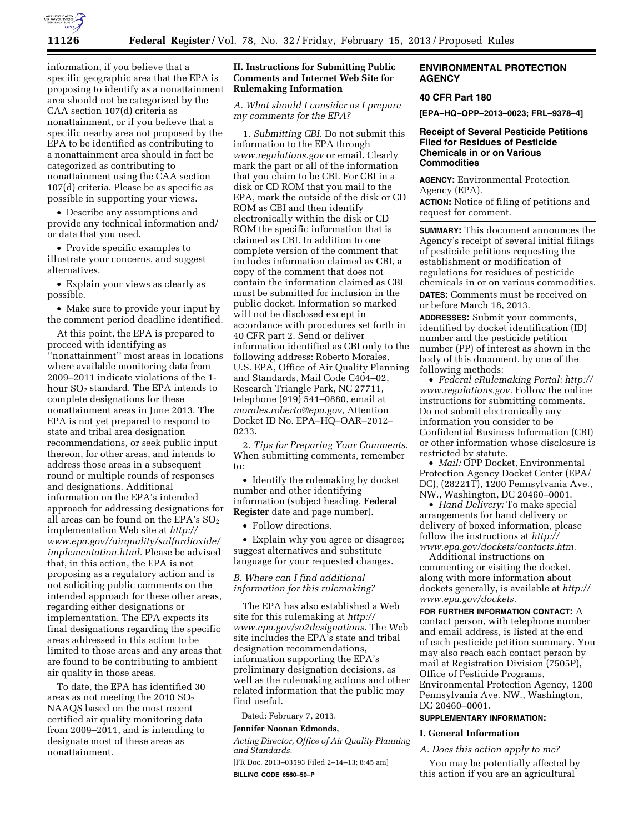

information, if you believe that a specific geographic area that the EPA is proposing to identify as a nonattainment area should not be categorized by the CAA section 107(d) criteria as nonattainment, or if you believe that a specific nearby area not proposed by the EPA to be identified as contributing to a nonattainment area should in fact be categorized as contributing to nonattainment using the CAA section 107(d) criteria. Please be as specific as possible in supporting your views.

• Describe any assumptions and provide any technical information and/ or data that you used.

• Provide specific examples to illustrate your concerns, and suggest alternatives.

• Explain your views as clearly as possible.

• Make sure to provide your input by the comment period deadline identified.

At this point, the EPA is prepared to proceed with identifying as ''nonattainment'' most areas in locations where available monitoring data from 2009–2011 indicate violations of the 1 hour SO<sub>2</sub> standard. The EPA intends to complete designations for these nonattainment areas in June 2013. The EPA is not yet prepared to respond to state and tribal area designation recommendations, or seek public input thereon, for other areas, and intends to address those areas in a subsequent round or multiple rounds of responses and designations. Additional information on the EPA's intended approach for addressing designations for all areas can be found on the EPA's  $SO<sub>2</sub>$ implementation Web site at *[http://](http://www.epa.gov//airquality/sulfurdioxide/implementation.html)  [www.epa.gov//airquality/sulfurdioxide/](http://www.epa.gov//airquality/sulfurdioxide/implementation.html) [implementation.html.](http://www.epa.gov//airquality/sulfurdioxide/implementation.html)* Please be advised that, in this action, the EPA is not proposing as a regulatory action and is not soliciting public comments on the intended approach for these other areas, regarding either designations or implementation. The EPA expects its final designations regarding the specific areas addressed in this action to be limited to those areas and any areas that are found to be contributing to ambient air quality in those areas.

To date, the EPA has identified 30 areas as not meeting the  $2010$   $SO<sub>2</sub>$ NAAQS based on the most recent certified air quality monitoring data from 2009–2011, and is intending to designate most of these areas as nonattainment.

### **II. Instructions for Submitting Public Comments and Internet Web Site for Rulemaking Information**

*A. What should I consider as I prepare my comments for the EPA?* 

1. *Submitting CBI.* Do not submit this information to the EPA through *[www.regulations.gov](http://www.regulations.gov)* or email. Clearly mark the part or all of the information that you claim to be CBI. For CBI in a disk or CD ROM that you mail to the EPA, mark the outside of the disk or CD ROM as CBI and then identify electronically within the disk or CD ROM the specific information that is claimed as CBI. In addition to one complete version of the comment that includes information claimed as CBI, a copy of the comment that does not contain the information claimed as CBI must be submitted for inclusion in the public docket. Information so marked will not be disclosed except in accordance with procedures set forth in 40 CFR part 2. Send or deliver information identified as CBI only to the following address: Roberto Morales, U.S. EPA, Office of Air Quality Planning and Standards, Mail Code C404–02, Research Triangle Park, NC 27711, telephone (919) 541–0880, email at *[morales.roberto@epa.gov,](mailto:morales.roberto@epa.gov)* Attention Docket ID No. EPA–HQ–OAR–2012– 0233.

2. *Tips for Preparing Your Comments.*  When submitting comments, remember to:

• Identify the rulemaking by docket number and other identifying information (subject heading, **Federal Register** date and page number).

• Follow directions.

• Explain why you agree or disagree; suggest alternatives and substitute language for your requested changes.

*B. Where can I find additional information for this rulemaking?* 

The EPA has also established a Web site for this rulemaking at *[http://](http://www.epa.gov/so2designations)  [www.epa.gov/so2designations.](http://www.epa.gov/so2designations)* The Web site includes the EPA's state and tribal designation recommendations, information supporting the EPA's preliminary designation decisions, as well as the rulemaking actions and other related information that the public may find useful.

Dated: February 7, 2013.

### **Jennifer Noonan Edmonds,**

*Acting Director, Office of Air Quality Planning and Standards.* 

[FR Doc. 2013–03593 Filed 2–14–13; 8:45 am] **BILLING CODE 6560–50–P** 

# **ENVIRONMENTAL PROTECTION AGENCY**

# **40 CFR Part 180**

**[EPA–HQ–OPP–2013–0023; FRL–9378–4]** 

# **Receipt of Several Pesticide Petitions Filed for Residues of Pesticide Chemicals in or on Various Commodities**

**AGENCY:** Environmental Protection Agency (EPA).

**ACTION:** Notice of filing of petitions and request for comment.

**SUMMARY:** This document announces the Agency's receipt of several initial filings of pesticide petitions requesting the establishment or modification of regulations for residues of pesticide chemicals in or on various commodities. **DATES:** Comments must be received on or before March 18, 2013.

**ADDRESSES:** Submit your comments, identified by docket identification (ID) number and the pesticide petition number (PP) of interest as shown in the body of this document, by one of the following methods:

• *Federal eRulemaking Portal: [http://](http://www.regulations.gov)  [www.regulations.gov.](http://www.regulations.gov)* Follow the online instructions for submitting comments. Do not submit electronically any information you consider to be Confidential Business Information (CBI) or other information whose disclosure is restricted by statute.

• *Mail:* OPP Docket, Environmental Protection Agency Docket Center (EPA/ DC), (28221T), 1200 Pennsylvania Ave., NW., Washington, DC 20460–0001.

• *Hand Delivery:* To make special arrangements for hand delivery or delivery of boxed information, please follow the instructions at *[http://](http://www.epa.gov/dockets/contacts.htm)  [www.epa.gov/dockets/contacts.htm.](http://www.epa.gov/dockets/contacts.htm)* 

Additional instructions on commenting or visiting the docket, along with more information about dockets generally, is available at *[http://](http://www.epa.gov/dockets) [www.epa.gov/dockets.](http://www.epa.gov/dockets)* 

**FOR FURTHER INFORMATION CONTACT:** A contact person, with telephone number and email address, is listed at the end of each pesticide petition summary. You may also reach each contact person by mail at Registration Division (7505P), Office of Pesticide Programs, Environmental Protection Agency, 1200 Pennsylvania Ave. NW., Washington, DC 20460–0001.

# **SUPPLEMENTARY INFORMATION:**

### **I. General Information**

### *A. Does this action apply to me?*

You may be potentially affected by this action if you are an agricultural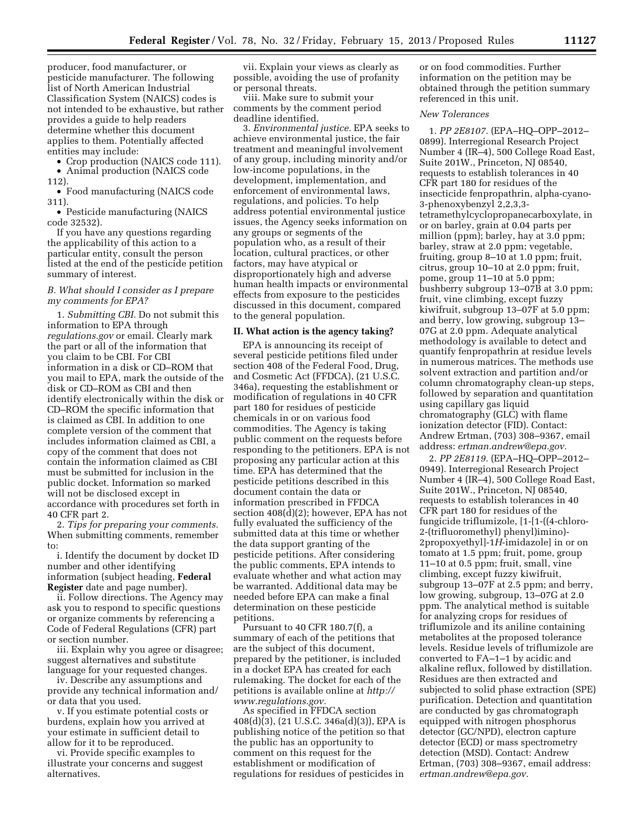producer, food manufacturer, or pesticide manufacturer. The following list of North American Industrial Classification System (NAICS) codes is not intended to be exhaustive, but rather provides a guide to help readers determine whether this document applies to them. Potentially affected entities may include:

• Crop production (NAICS code 111). • Animal production (NAICS code

112).

• Food manufacturing (NAICS code 311).

• Pesticide manufacturing (NAICS code 32532).

If you have any questions regarding the applicability of this action to a particular entity, consult the person listed at the end of the pesticide petition summary of interest.

### *B. What should I consider as I prepare my comments for EPA?*

1. *Submitting CBI.* Do not submit this information to EPA through *regulations.gov* or email. Clearly mark the part or all of the information that you claim to be CBI. For CBI information in a disk or CD–ROM that you mail to EPA, mark the outside of the disk or CD–ROM as CBI and then identify electronically within the disk or CD–ROM the specific information that is claimed as CBI. In addition to one complete version of the comment that includes information claimed as CBI, a copy of the comment that does not contain the information claimed as CBI must be submitted for inclusion in the public docket. Information so marked will not be disclosed except in accordance with procedures set forth in 40 CFR part 2.

2. *Tips for preparing your comments.*  When submitting comments, remember to:

i. Identify the document by docket ID number and other identifying information (subject heading, **Federal Register** date and page number).

ii. Follow directions. The Agency may ask you to respond to specific questions or organize comments by referencing a Code of Federal Regulations (CFR) part or section number.

iii. Explain why you agree or disagree; suggest alternatives and substitute language for your requested changes.

iv. Describe any assumptions and provide any technical information and/ or data that you used.

v. If you estimate potential costs or burdens, explain how you arrived at your estimate in sufficient detail to allow for it to be reproduced.

vi. Provide specific examples to illustrate your concerns and suggest alternatives.

vii. Explain your views as clearly as possible, avoiding the use of profanity or personal threats.

viii. Make sure to submit your comments by the comment period deadline identified.

3. *Environmental justice.* EPA seeks to achieve environmental justice, the fair treatment and meaningful involvement of any group, including minority and/or low-income populations, in the development, implementation, and enforcement of environmental laws, regulations, and policies. To help address potential environmental justice issues, the Agency seeks information on any groups or segments of the population who, as a result of their location, cultural practices, or other factors, may have atypical or disproportionately high and adverse human health impacts or environmental effects from exposure to the pesticides discussed in this document, compared to the general population.

### **II. What action is the agency taking?**

EPA is announcing its receipt of several pesticide petitions filed under section 408 of the Federal Food, Drug, and Cosmetic Act (FFDCA), (21 U.S.C. 346a), requesting the establishment or modification of regulations in 40 CFR part 180 for residues of pesticide chemicals in or on various food commodities. The Agency is taking public comment on the requests before responding to the petitioners. EPA is not proposing any particular action at this time. EPA has determined that the pesticide petitions described in this document contain the data or information prescribed in FFDCA section 408(d)(2); however, EPA has not fully evaluated the sufficiency of the submitted data at this time or whether the data support granting of the pesticide petitions. After considering the public comments, EPA intends to evaluate whether and what action may be warranted. Additional data may be needed before EPA can make a final determination on these pesticide petitions.

Pursuant to 40 CFR 180.7(f), a summary of each of the petitions that are the subject of this document, prepared by the petitioner, is included in a docket EPA has created for each rulemaking. The docket for each of the petitions is available online at *[http://](http://www.regulations.gov) [www.regulations.gov.](http://www.regulations.gov)* 

As specified in FFDCA section 408(d)(3), (21 U.S.C. 346a(d)(3)), EPA is publishing notice of the petition so that the public has an opportunity to comment on this request for the establishment or modification of regulations for residues of pesticides in

or on food commodities. Further information on the petition may be obtained through the petition summary referenced in this unit.

# *New Tolerances*

1. *PP 2E8107.* (EPA–HQ–OPP–2012– 0899). Interregional Research Project Number 4 (IR–4), 500 College Road East, Suite 201W., Princeton, NJ 08540, requests to establish tolerances in 40 CFR part 180 for residues of the insecticide fenpropathrin, alpha-cyano-3-phenoxybenzyl 2,2,3,3 tetramethylcyclopropanecarboxylate, in or on barley, grain at 0.04 parts per million (ppm); barley, hay at 3.0 ppm; barley, straw at 2.0 ppm; vegetable, fruiting, group 8–10 at 1.0 ppm; fruit, citrus, group 10–10 at 2.0 ppm; fruit, pome, group 11–10 at 5.0 ppm; bushberry subgroup 13–07B at 3.0 ppm; fruit, vine climbing, except fuzzy kiwifruit, subgroup 13–07F at 5.0 ppm; and berry, low growing, subgroup 13– 07G at 2.0 ppm. Adequate analytical methodology is available to detect and quantify fenpropathrin at residue levels in numerous matrices. The methods use solvent extraction and partition and/or column chromatography clean-up steps, followed by separation and quantitation using capillary gas liquid chromatography (GLC) with flame ionization detector (FID). Contact: Andrew Ertman, (703) 308–9367, email address: *[ertman.andrew@epa.gov.](mailto:ertman.andrew@epa.gov)* 

2. *PP 2E8119.* (EPA–HQ–OPP–2012– 0949). Interregional Research Project Number 4 (IR–4), 500 College Road East, Suite 201W., Princeton, NJ 08540, requests to establish tolerances in 40 CFR part 180 for residues of the fungicide triflumizole, [1-[1-((4-chloro-2-(trifluoromethyl) phenyl)imino)- 2propoxyethyl]-1*H*-imidazole] in or on tomato at 1.5 ppm; fruit, pome, group 11–10 at 0.5 ppm; fruit, small, vine climbing, except fuzzy kiwifruit, subgroup 13–07F at 2.5 ppm; and berry, low growing, subgroup, 13–07G at 2.0 ppm. The analytical method is suitable for analyzing crops for residues of triflumizole and its aniline containing metabolites at the proposed tolerance levels. Residue levels of triflumizole are converted to FA–1–1 by acidic and alkaline reflux, followed by distillation. Residues are then extracted and subjected to solid phase extraction (SPE) purification. Detection and quantitation are conducted by gas chromatograph equipped with nitrogen phosphorus detector (GC/NPD), electron capture detector (ECD) or mass spectrometry detection (MSD). Contact: Andrew Ertman, (703) 308–9367, email address: *[ertman.andrew@epa.gov.](mailto:ertman.andrew@epa.gov)*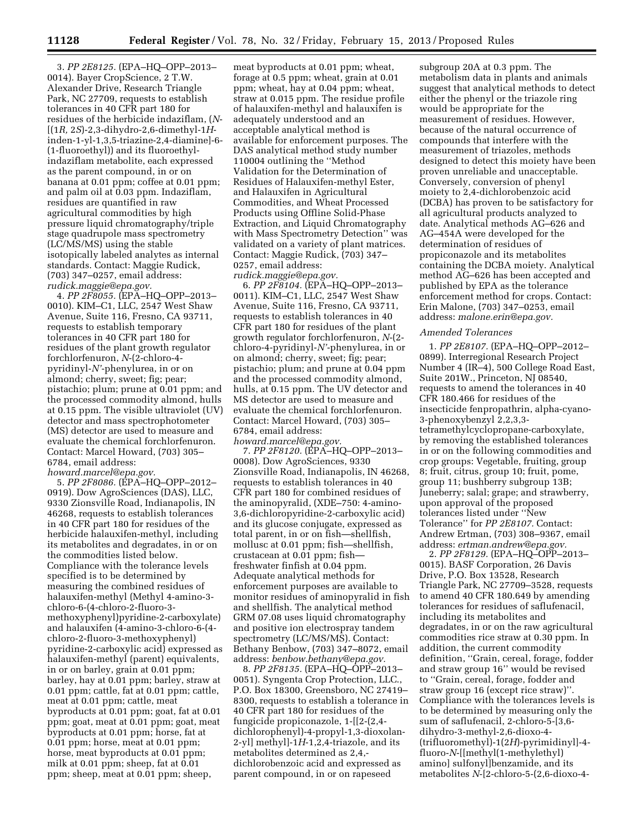3. *PP 2E8125.* (EPA–HQ–OPP–2013– 0014). Bayer CropScience, 2 T.W. Alexander Drive, Research Triangle Park, NC 27709, requests to establish tolerances in 40 CFR part 180 for residues of the herbicide indaziflam, (*N*- [(1*R,* 2*S*)-2,3-dihydro-2,6-dimethyl-1*H*inden-1-yl-1,3,5-triazine-2,4-diamine]-6- (1-fluoroethyl)) and its fluoroethylindaziflam metabolite, each expressed as the parent compound, in or on banana at 0.01 ppm; coffee at 0.01 ppm; and palm oil at 0.03 ppm. Indaziflam, residues are quantified in raw agricultural commodities by high pressure liquid chromatography/triple stage quadrupole mass spectrometry (LC/MS/MS) using the stable isotopically labeled analytes as internal standards. Contact: Maggie Rudick, (703) 347–0257, email address: *[rudick.maggie@epa.gov.](mailto:rudick.maggie@epa.gov)* 

4. *PP 2F8055.* (EPA–HQ–OPP–2013– 0010). KIM–C1, LLC, 2547 West Shaw Avenue, Suite 116, Fresno, CA 93711, requests to establish temporary tolerances in 40 CFR part 180 for residues of the plant growth regulator forchlorfenuron, *N*-(2-chloro-4 pyridinyl-*N'*-phenylurea, in or on almond; cherry, sweet; fig; pear; pistachio; plum; prune at 0.01 ppm; and the processed commodity almond, hulls at 0.15 ppm. The visible ultraviolet (UV) detector and mass spectrophotometer (MS) detector are used to measure and evaluate the chemical forchlorfenuron. Contact: Marcel Howard, (703) 305– 6784, email address:

*[howard.marcel@epa.gov.](mailto:howard.marcel@epa.gov)* 

5. *PP 2F8086.* (EPA–HQ–OPP–2012– 0919). Dow AgroSciences (DAS), LLC, 9330 Zionsville Road, Indianapolis, IN 46268, requests to establish tolerances in 40 CFR part 180 for residues of the herbicide halauxifen-methyl, including its metabolites and degradates, in or on the commodities listed below. Compliance with the tolerance levels specified is to be determined by measuring the combined residues of halauxifen-methyl (Methyl 4-amino-3 chloro-6-(4-chloro-2-fluoro-3 methoxyphenyl)pyridine-2-carboxylate) and halauxifen (4-amino-3-chloro-6-(4 chloro-2-fluoro-3-methoxyphenyl) pyridine-2-carboxylic acid) expressed as halauxifen-methyl (parent) equivalents, in or on barley, grain at 0.01 ppm; barley, hay at 0.01 ppm; barley, straw at 0.01 ppm; cattle, fat at 0.01 ppm; cattle, meat at 0.01 ppm; cattle, meat byproducts at 0.01 ppm; goat, fat at 0.01 ppm; goat, meat at 0.01 ppm; goat, meat byproducts at 0.01 ppm; horse, fat at 0.01 ppm; horse, meat at 0.01 ppm; horse, meat byproducts at 0.01 ppm; milk at 0.01 ppm; sheep, fat at 0.01 ppm; sheep, meat at 0.01 ppm; sheep,

meat byproducts at 0.01 ppm; wheat, forage at 0.5 ppm; wheat, grain at 0.01 ppm; wheat, hay at 0.04 ppm; wheat, straw at 0.015 ppm. The residue profile of halauxifen-methyl and halauxifen is adequately understood and an acceptable analytical method is available for enforcement purposes. The DAS analytical method study number 110004 outlining the ''Method Validation for the Determination of Residues of Halauxifen-methyl Ester, and Halauxifen in Agricultural Commodities, and Wheat Processed Products using Offline Solid-Phase Extraction, and Liquid Chromatography with Mass Spectrometry Detection'' was validated on a variety of plant matrices. Contact: Maggie Rudick, (703) 347– 0257, email address: *[rudick.maggie@epa.gov.](mailto:rudick.maggie@epa.gov)* 

6. *PP 2F8104.* (EPA–HQ–OPP–2013– 0011). KIM–C1, LLC, 2547 West Shaw Avenue, Suite 116, Fresno, CA 93711, requests to establish tolerances in 40 CFR part 180 for residues of the plant growth regulator forchlorfenuron, *N*-(2 chloro-4-pyridinyl-*N'*-phenylurea, in or on almond; cherry, sweet; fig; pear; pistachio; plum; and prune at 0.04 ppm and the processed commodity almond, hulls, at 0.15 ppm. The UV detector and MS detector are used to measure and evaluate the chemical forchlorfenuron. Contact: Marcel Howard, (703) 305– 6784, email address: *[howard.marcel@epa.gov.](mailto:howard.marcel@epa.gov)* 

7. *PP 2F8120.* (EPA–HQ–OPP–2013– 0008). Dow AgroSciences, 9330 Zionsville Road, Indianapolis, IN 46268, requests to establish tolerances in 40 CFR part 180 for combined residues of the aminopyralid, (XDE–750: 4-amino-3,6-dichloropyridine-2-carboxylic acid) and its glucose conjugate, expressed as total parent, in or on fish—shellfish, mollusc at 0.01 ppm; fish—shellfish, crustacean at 0.01 ppm; fish freshwater finfish at 0.04 ppm. Adequate analytical methods for enforcement purposes are available to monitor residues of aminopyralid in fish and shellfish. The analytical method GRM 07.08 uses liquid chromatography and positive ion electrospray tandem spectrometry (LC/MS/MS). Contact: Bethany Benbow, (703) 347–8072, email address: *[benbow.bethany@epa.gov.](mailto:benbow.bethany@epa.gov)* 

8. *PP 2F8135.* (EPA–HQ–OPP–2013– 0051). Syngenta Crop Protection, LLC., P.O. Box 18300, Greensboro, NC 27419– 8300, requests to establish a tolerance in 40 CFR part 180 for residues of the fungicide propiconazole, 1-[[2-(2,4 dichlorophenyl)-4-propyl-1,3-dioxolan-2-yl] methyl]-1*H*-1,2,4-triazole, and its metabolites determined as 2,4, dichlorobenzoic acid and expressed as parent compound, in or on rapeseed

subgroup 20A at 0.3 ppm. The metabolism data in plants and animals suggest that analytical methods to detect either the phenyl or the triazole ring would be appropriate for the measurement of residues. However, because of the natural occurrence of compounds that interfere with the measurement of triazoles, methods designed to detect this moiety have been proven unreliable and unacceptable. Conversely, conversion of phenyl moiety to 2,4-dichlorobenzoic acid (DCBA) has proven to be satisfactory for all agricultural products analyzed to date. Analytical methods AG–626 and AG–454A were developed for the determination of residues of propiconazole and its metabolites containing the DCBA moiety. Analytical method AG–626 has been accepted and published by EPA as the tolerance enforcement method for crops. Contact: Erin Malone, (703) 347–0253, email address: *[malone.erin@epa.gov.](mailto:malone.erin@epa.gov)* 

#### *Amended Tolerances*

1. *PP 2E8107.* (EPA–HQ–OPP–2012– 0899). Interregional Research Project Number 4 (IR–4), 500 College Road East, Suite 201W., Princeton, NJ 08540, requests to amend the tolerances in 40 CFR 180.466 for residues of the insecticide fenpropathrin, alpha-cyano-3-phenoxybenzyl 2,2,3,3 tetramethylcyclopropane-carboxylate, by removing the established tolerances in or on the following commodities and crop groups: Vegetable, fruiting, group 8; fruit, citrus, group 10; fruit, pome, group 11; bushberry subgroup 13B; Juneberry; salal; grape; and strawberry, upon approval of the proposed tolerances listed under ''New Tolerance'' for *PP 2E8107.* Contact: Andrew Ertman, (703) 308–9367, email address: *[ertman.andrew@epa.gov.](mailto:ertman.andrew@epa.gov)* 

2. *PP 2F8129.* (EPA–HQ–OPP–2013– 0015). BASF Corporation, 26 Davis Drive, P.O. Box 13528, Research Triangle Park, NC 27709–3528, requests to amend 40 CFR 180.649 by amending tolerances for residues of saflufenacil, including its metabolites and degradates, in or on the raw agricultural commodities rice straw at 0.30 ppm. In addition, the current commodity definition, ''Grain, cereal, forage, fodder and straw group 16'' would be revised to ''Grain, cereal, forage, fodder and straw group 16 (except rice straw)''. Compliance with the tolerances levels is to be determined by measuring only the sum of saflufenacil, 2-chloro-5-[3,6 dihydro-3-methyl-2,6-dioxo-4- (trifluoromethyl)-1(2*H*)-pyrimidinyl]-4 fluoro-*N*-[[methyl(1-methylethyl) amino] sulfonyl]benzamide, and its metabolites *N*-[2-chloro-5-(2,6-dioxo-4